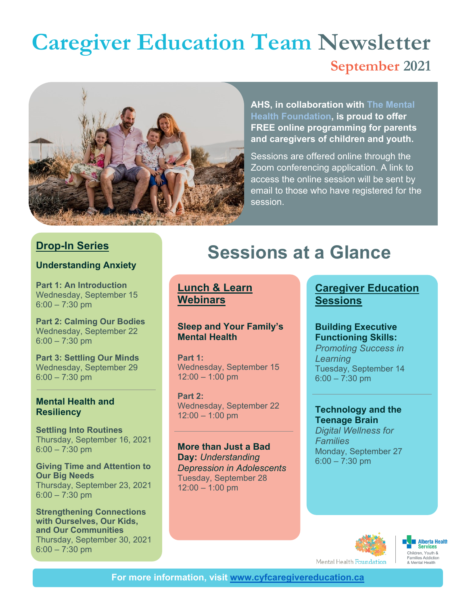## **September 2021 Caregiver Education Team Newsletter**



**AHS, in collaboration with [The Mental](https://mentalhealthfoundation.ca/)  [Health Foundation,](https://mentalhealthfoundation.ca/) is proud to offer FREE online programming for parents and caregivers of children and youth.**

Sessions are offered online through the Zoom conferencing application. A link to access the online session will be sent by email to those who have registered for the session.

#### **Drop-In Series**

#### **Understanding Anxiety**

**Part 1: An Introduction** Wednesday, September 15  $6:00 - 7:30$  pm

**Part 2: Calming Our Bodies** Wednesday, September 22 6:00 – 7:30 pm

**Part 3: Settling Our Minds** Wednesday, September 29 6:00 – 7:30 pm

#### **Mental Health and Resiliency**

**Settling Into Routines** Thursday, September 16, 2021 6:00 – 7:30 pm

**Giving Time and Attention to Our Big Needs** Thursday, September 23, 2021 6:00 – 7:30 pm

**Strengthening Connections with Ourselves, Our Kids, and Our Communities** Thursday, September 30, 2021 6:00 – 7:30 pm

## **Sessions at a Glance**

**Lunch & Learn Webinars**

#### **Sleep and Your Family's Mental Health**

**Part 1:**  Wednesday, September 15 12:00 – 1:00 pm

**Part 2:**  Wednesday, September 22 12:00 – 1:00 pm

**More than Just a Bad Day:** *Understanding Depression in Adolescents* Tuesday, September 28 12:00 – 1:00 pm

#### **Caregiver Education Sessions**

#### **Building Executive Functioning Skills:**

*Promoting Success in Learning* Tuesday, September 14 6:00 – 7:30 pm

#### **Technology and the Teenage Brain**

*Digital Wellness for Families* Monday, September 27 6:00 – 7:30 pm





Mental Health Foundation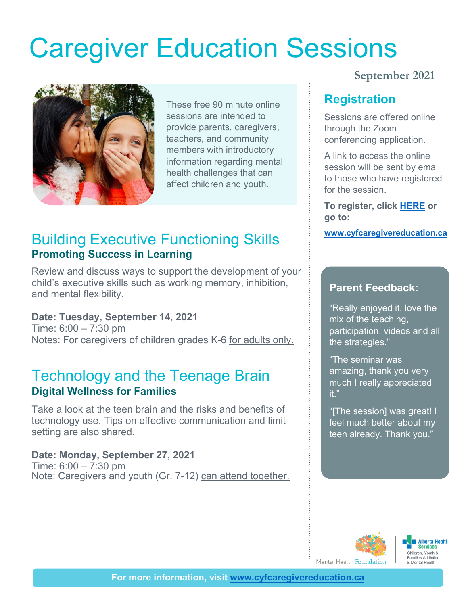# [Caregiver Education Sessions](https://www.surveymonkey.com/r/CaregiverSessionsONLINE20202021)



These free 90 minute online sessions are intended to provide parents, caregivers, teachers, and community members with introductory information regarding mental health challenges that can affect children and youth.

### **Building Executive Functioning Skills WWW.cyfcaregivereducation.ca Promoting Success in Learning**

Review and discuss ways to support the development of your child's executive skills such as working memory, inhibition, and mental flexibility.

#### **Date: Tuesday, September 14, 2021**

Time: 6:00 – 7:30 pm Notes: For caregivers of children grades K-6 for adults only.

### Technology and the Teenage Brain **Digital Wellness for Families**

Take a look at the teen brain and the risks and benefits of technology use. Tips on effective communication and limit setting are also shared.

#### **Date: Monday, September 27, 2021**

Time: 6:00 – 7:30 pm Note: Caregivers and youth (Gr. 7-12) can attend together.

#### **September 2021**

#### **Registration**

Sessions are offered online through the Zoom conferencing application.

A link to access the online session will be sent by email to those who have registered for the session.

**To register, click [HERE](https://www.cyfcaregivereducation.ca/virtual-education) or go to:**

#### **Parent Feedback:**

"Really enjoyed it, love the mix of the teaching, participation, videos and all the strategies."

"The seminar was amazing, thank you very much I really appreciated it."

"[The session] was great! I feel much better about my teen already. Thank you."



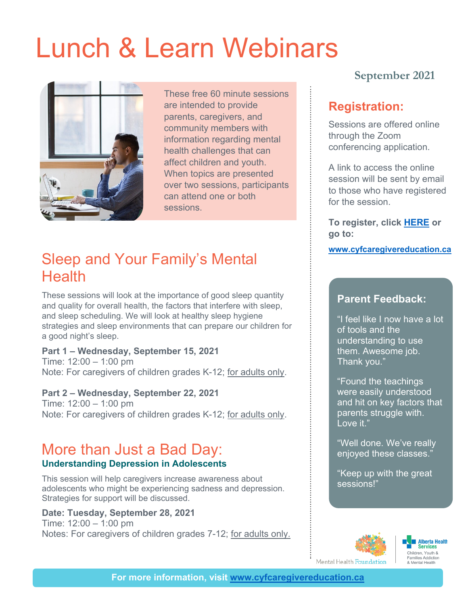## [Lunch & Learn Webinars](https://www.surveymonkey.com/r/LunchandLearnONLINE202020201)



These free 60 minute sessions are intended to provide parents, caregivers, and community members with information regarding mental health challenges that can affect children and youth. When topics are presented over two sessions, participants can attend one or both sessions.

## Sleep and Your Family's Mental **Health**

These sessions will look at the importance of good sleep quantity and quality for overall health, the factors that interfere with sleep, and sleep scheduling. We will look at healthy sleep hygiene strategies and sleep environments that can prepare our children for a good night's sleep.

#### **Part 1 – Wednesday, September 15, 2021**

Time: 12:00 – 1:00 pm Note: For caregivers of children grades K-12; for adults only.

**Part 2 – Wednesday, September 22, 2021** Time: 12:00 – 1:00 pm Note: For caregivers of children grades K-12; for adults only.

#### More than Just a Bad Day: **Understanding Depression in Adolescents**

This session will help caregivers increase awareness about adolescents who might be experiencing sadness and depression. Strategies for support will be discussed.

#### **Date: Tuesday, September 28, 2021**

Time: 12:00 – 1:00 pm Notes: For caregivers of children grades 7-12; for adults only.

#### **September 2021**

#### **Registration:**

Sessions are offered online through the Zoom conferencing application.

A link to access the online session will be sent by email to those who have registered for the session.

**To register, click [HERE](https://www.cyfcaregivereducation.ca/virtual-education) or go to:**

#### **[www.cyfcaregivereducation.ca](http://www.cyfcaregivereducation.ca/)**

#### **Parent Feedback:**

"I feel like I now have a lot of tools and the understanding to use them. Awesome job. Thank you."

"Found the teachings were easily understood and hit on key factors that parents struggle with. Love it."

"Well done. We've really enjoyed these classes."

"Keep up with the great sessions!"

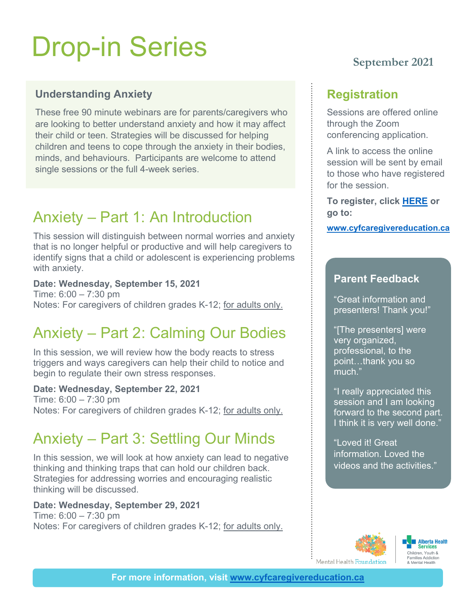# Drop-in Series

#### **Understanding Anxiety**

These free 90 minute webinars are for parents/caregivers who are looking to better understand anxiety and how it may affect their child or teen. Strategies will be discussed for helping children and teens to cope through the anxiety in their bodies, minds, and behaviours. Participants are welcome to attend single sessions or the full 4-week series.

## Anxiety – Part 1: An Introduction

This session will distinguish between normal worries and anxiety that is no longer helpful or productive and will help caregivers to identify signs that a child or adolescent is experiencing problems with anxiety.

#### **Date: Wednesday, September 15, 2021**

Time: 6:00 – 7:30 pm Notes: For caregivers of children grades K-12; for adults only.

## Anxiety – Part 2: Calming Our Bodies

In this session, we will review how the body reacts to stress triggers and ways caregivers can help their child to notice and begin to regulate their own stress responses.

#### **Date: Wednesday, September 22, 2021**

Time: 6:00 – 7:30 pm Notes: For caregivers of children grades K-12; for adults only.

## Anxiety – Part 3: Settling Our Minds

In this session, we will look at how anxiety can lead to negative thinking and thinking traps that can hold our children back. Strategies for addressing worries and encouraging realistic thinking will be discussed.

#### **Date: Wednesday, September 29, 2021**

Time: 6:00 – 7:30 pm Notes: For caregivers of children grades K-12; for adults only.

#### **September 2021**

#### **Registration**

Sessions are offered online through the Zoom conferencing application.

A link to access the online session will be sent by email to those who have registered for the session.

**To register, click [HERE](https://www.cyfcaregivereducation.ca/virtual-education) or go to:**

**[www.cyfcaregivereducation.ca](http://www.cyfcaregivereducation.ca/)**

#### **Parent Feedback**

"Great information and presenters! Thank you!"

"[The presenters] were very organized, professional, to the point…thank you so much."

"I really appreciated this session and I am looking forward to the second part. I think it is very well done."

"Loved it! Great information. Loved the videos and the activities."